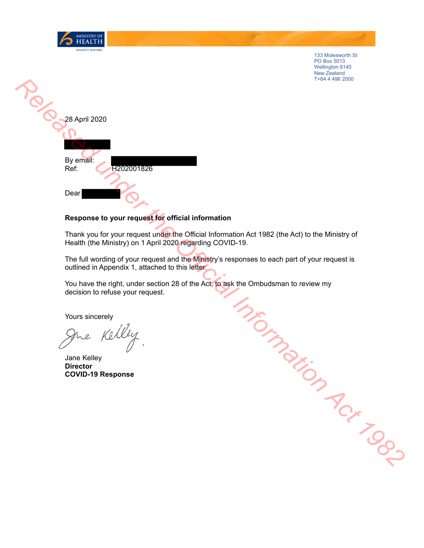



MINISTRY OF HEALTH **MANATŪ HAUOR** 

## **Response to your request for official information**

Thank you for your request under the Official Information Act 1982 (the Act) to the Ministry of Health (the Ministry) on 1 April 2020 regarding COVID-19.

The full wording of your request and the Ministry's responses to each part of your request is outlined in Appendix 1, attached to this letter.

You have the right, under section 28 of the Act, to ask the Ombudsman to review my decision to refuse your request. Religion Act 1982

Yours sincerely

Jane Kelley **Director COVID-19 Response**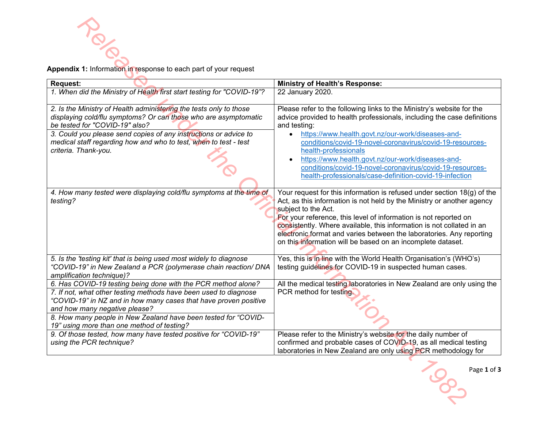| Appendix 1: Information in response to each part of your request                                                                                                                                                                                                                                                                                       |                                                                                                                                                                                                                                                                                                                                                                                                                                                                                                      |
|--------------------------------------------------------------------------------------------------------------------------------------------------------------------------------------------------------------------------------------------------------------------------------------------------------------------------------------------------------|------------------------------------------------------------------------------------------------------------------------------------------------------------------------------------------------------------------------------------------------------------------------------------------------------------------------------------------------------------------------------------------------------------------------------------------------------------------------------------------------------|
| <b>Request:</b>                                                                                                                                                                                                                                                                                                                                        | <b>Ministry of Health's Response:</b>                                                                                                                                                                                                                                                                                                                                                                                                                                                                |
| 1. When did the Ministry of Health first start testing for "COVID-19"?                                                                                                                                                                                                                                                                                 | 22 January 2020.                                                                                                                                                                                                                                                                                                                                                                                                                                                                                     |
| 2. Is the Ministry of Health administering the tests only to those<br>displaying cold/flu symptoms? Or can those who are asymptomatic<br>be tested for "COVID-19" also?<br>3. Could you please send copies of any instructions or advice to<br>medical staff regarding how and who to test, when to test - test<br>criteria. Thank-you.                | Please refer to the following links to the Ministry's website for the<br>advice provided to health professionals, including the case definitions<br>and testing:<br>https://www.health.govt.nz/our-work/diseases-and-<br>$\bullet$<br>conditions/covid-19-novel-coronavirus/covid-19-resources-<br>health-professionals<br>https://www.health.govt.nz/our-work/diseases-and-<br>conditions/covid-19-novel-coronavirus/covid-19-resources-<br>health-professionals/case-definition-covid-19-infection |
| 4. How many tested were displaying cold/flu symptoms at the time of<br>testing?                                                                                                                                                                                                                                                                        | Your request for this information is refused under section 18(g) of the<br>Act, as this information is not held by the Ministry or another agency<br>subject to the Act.<br>For your reference, this level of information is not reported on<br>consistently. Where available, this information is not collated in an<br>electronic format and varies between the laboratories. Any reporting<br>on this information will be based on an incomplete dataset.                                         |
| 5. Is the 'testing kit' that is being used most widely to diagnose<br>"COVID-19" in New Zealand a PCR (polymerase chain reaction/ DNA<br>amplification technique)?                                                                                                                                                                                     | Yes, this is in line with the World Health Organisation's (WHO's)<br>testing guidelines for COVID-19 in suspected human cases.                                                                                                                                                                                                                                                                                                                                                                       |
| 6. Has COVID-19 testing being done with the PCR method alone?<br>7. If not, what other testing methods have been used to diagnose<br>"COVID-19" in NZ and in how many cases that have proven positive<br>and how many negative please?<br>8. How many people in New Zealand have been tested for "COVID-<br>19" using more than one method of testing? | All the medical testing laboratories in New Zealand are only using the<br>PCR method for testing.                                                                                                                                                                                                                                                                                                                                                                                                    |
| 9. Of those tested, how many have tested positive for "COVID-19"<br>using the PCR technique?                                                                                                                                                                                                                                                           | Please refer to the Ministry's website for the daily number of<br>confirmed and probable cases of COVID-19, as all medical testing<br>laboratories in New Zealand are only using PCR methodology for                                                                                                                                                                                                                                                                                                 |
|                                                                                                                                                                                                                                                                                                                                                        | Page 1 of 3<br>Con                                                                                                                                                                                                                                                                                                                                                                                                                                                                                   |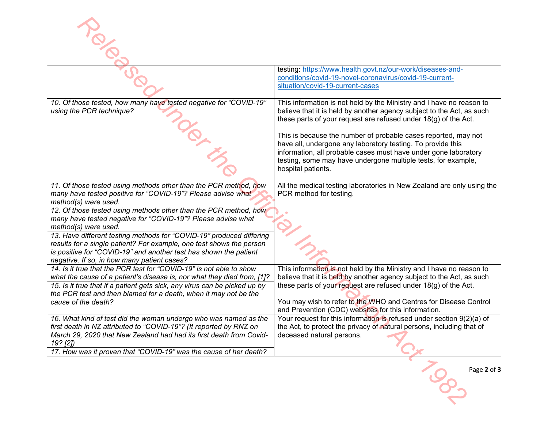|                                                                                                                                                                                                                                                                                                                                                                                                                                                                                                                                                                                          | testing: https://www.health.govt.nz/our-work/diseases-and-<br>conditions/covid-19-novel-coronavirus/covid-19-current-<br>situation/covid-19-current-cases                                                                                                                                                                                                                                                                                                                                                   |
|------------------------------------------------------------------------------------------------------------------------------------------------------------------------------------------------------------------------------------------------------------------------------------------------------------------------------------------------------------------------------------------------------------------------------------------------------------------------------------------------------------------------------------------------------------------------------------------|-------------------------------------------------------------------------------------------------------------------------------------------------------------------------------------------------------------------------------------------------------------------------------------------------------------------------------------------------------------------------------------------------------------------------------------------------------------------------------------------------------------|
| 10. Of those tested, how many have tested negative for "COVID-19"<br>using the PCR technique?                                                                                                                                                                                                                                                                                                                                                                                                                                                                                            | This information is not held by the Ministry and I have no reason to<br>believe that it is held by another agency subject to the Act, as such<br>these parts of your request are refused under 18(g) of the Act.<br>This is because the number of probable cases reported, may not<br>have all, undergone any laboratory testing. To provide this<br>information, all probable cases must have under gone laboratory<br>testing, some may have undergone multiple tests, for example,<br>hospital patients. |
| 11. Of those tested using methods other than the PCR method, how<br>many have tested positive for "COVID-19"? Please advise what<br>method(s) were used.<br>12. Of those tested using methods other than the PCR method, how<br>many have tested negative for "COVID-19"? Please advise what<br>method(s) were used.<br>13. Have different testing methods for "COVID-19" produced differing<br>results for a single patient? For example, one test shows the person<br>is positive for "COVID-19" and another test has shown the patient<br>negative. If so, in how many patient cases? | All the medical testing laboratories in New Zealand are only using the<br>PCR method for testing.                                                                                                                                                                                                                                                                                                                                                                                                           |
| 14. Is it true that the PCR test for "COVID-19" is not able to show<br>what the cause of a patient's disease is, nor what they died from, [1]?<br>15. Is it true that if a patient gets sick, any virus can be picked up by<br>the PCR test and then blamed for a death, when it may not be the<br>cause of the death?                                                                                                                                                                                                                                                                   | This information is not held by the Ministry and I have no reason to<br>believe that it is held by another agency subject to the Act, as such<br>these parts of your request are refused under 18(g) of the Act.<br>You may wish to refer to the WHO and Centres for Disease Control<br>and Prevention (CDC) websites for this information.                                                                                                                                                                 |
| 16. What kind of test did the woman undergo who was named as the<br>first death in NZ attributed to "COVID-19"? (It reported by RNZ on<br>March 29, 2020 that New Zealand had had its first death from Covid-<br>19? [2])<br>17. How was it proven that "COVID-19" was the cause of her death?                                                                                                                                                                                                                                                                                           | Your request for this information is refused under section 9(2)(a) of<br>the Act, to protect the privacy of natural persons, including that of<br>deceased natural persons.                                                                                                                                                                                                                                                                                                                                 |
|                                                                                                                                                                                                                                                                                                                                                                                                                                                                                                                                                                                          | Page 2 of 3                                                                                                                                                                                                                                                                                                                                                                                                                                                                                                 |